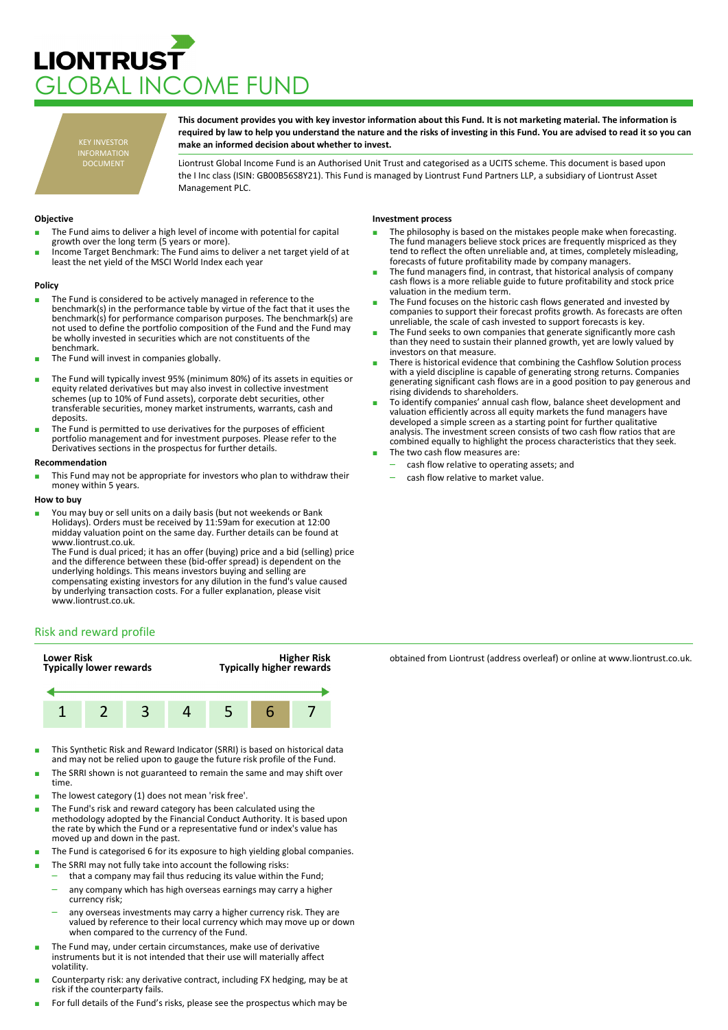# **LIONTRUST** LOBAL INCOME FUND

KEY INVESTOR INFORMATION DOCUMENT

**This document provides you with key investor information about this Fund. It is not marketing material. The information is required by law to help you understand the nature and the risks of investing in this Fund. You are advised to read it so you can make an informed decision about whether to invest.**

Liontrust Global Income Fund is an Authorised Unit Trust and categorised as a UCITS scheme. This document is based upon the I Inc class (ISIN: GB00B56S8Y21). This Fund is managed by Liontrust Fund Partners LLP, a subsidiary of Liontrust Asset Management PLC.

## **Objective**

- The Fund aims to deliver a high level of income with potential for capital growth over the long term (5 years or more).
- Income Target Benchmark: The Fund aims to deliver a net target yield of at least the net yield of the MSCI World Index each year

#### **Policy**

- The Fund is considered to be actively managed in reference to the benchmark(s) in the performance table by virtue of the fact that it uses the benchmark(s) for performance comparison purposes. The benchmark(s) are not used to define the portfolio composition of the Fund and the Fund may be wholly invested in securities which are not constituents of the benchmark.
- The Fund will invest in companies globally.
- The Fund will typically invest 95% (minimum 80%) of its assets in equities or equity related derivatives but may also invest in collective investment schemes (up to 10% of Fund assets), corporate debt securities, other transferable securities, money market instruments, warrants, cash and deposits.
- The Fund is permitted to use derivatives for the purposes of efficient portfolio management and for investment purposes. Please refer to the Derivatives sections in the prospectus for further details.

### **Recommendation**

This Fund may not be appropriate for investors who plan to withdraw their money within 5 years.

### **How to buy**

■ You may buy or sell units on a daily basis (but not weekends or Bank Holidays). Orders must be received by 11:59am for execution at 12:00 midday valuation point on the same day. Further details can be found at www.liontrust.co.uk.

The Fund is dual priced; it has an offer (buying) price and a bid (selling) price and the difference between these (bid-offer spread) is dependent on the underlying holdings. This means investors buying and selling are compensating existing investors for any dilution in the fund's value caused by underlying transaction costs. For a fuller explanation, please visit www.liontrust.co.uk.

## **Investment process**

- The philosophy is based on the mistakes people make when forecasting. The fund managers believe stock prices are frequently mispriced as they tend to reflect the often unreliable and, at times, completely misleading, forecasts of future profitability made by company managers.
- The fund managers find, in contrast, that historical analysis of company cash flows is a more reliable guide to future profitability and stock price valuation in the medium term.
- The Fund focuses on the historic cash flows generated and invested by companies to support their forecast profits growth. As forecasts are often unreliable, the scale of cash invested to support forecasts is key.
- The Fund seeks to own companies that generate significantly more cash than they need to sustain their planned growth, yet are lowly valued by investors on that measure.
- There is historical evidence that combining the Cashflow Solution process with a yield discipline is capable of generating strong returns. Companies generating significant cash flows are in a good position to pay generous and rising dividends to shareholders.
- To identify companies' annual cash flow, balance sheet development and valuation efficiently across all equity markets the fund managers have developed a simple screen as a starting point for further qualitative analysis. The investment screen consists of two cash flow ratios that are combined equally to highlight the process characteristics that they seek. The two cash flow measures are:
	- cash flow relative to operating assets; and
	- cash flow relative to market value.

# Risk and reward profile



- This Synthetic Risk and Reward Indicator (SRRI) is based on historical data and may not be relied upon to gauge the future risk profile of the Fund.
- The SRRI shown is not guaranteed to remain the same and may shift over time.
- The lowest category (1) does not mean 'risk free'.
- The Fund's risk and reward category has been calculated using the methodology adopted by the Financial Conduct Authority. It is based upon the rate by which the Fund or a representative fund or index's value has moved up and down in the past.
- The Fund is categorised 6 for its exposure to high yielding global companies.
- The SRRI may not fully take into account the following risks:
	- that a company may fail thus reducing its value within the Fund;
	- any company which has high overseas earnings may carry a higher currency risk;
	- any overseas investments may carry a higher currency risk. They are valued by reference to their local currency which may move up or down when compared to the currency of the Fund.
- The Fund may, under certain circumstances, make use of derivative instruments but it is not intended that their use will materially affect volatility.
- Counterparty risk: any derivative contract, including FX hedging, may be at risk if the counterparty fails.
- For full details of the Fund's risks, please see the prospectus which may be

obtained from Liontrust (address overleaf) or online at www.liontrust.co.uk.